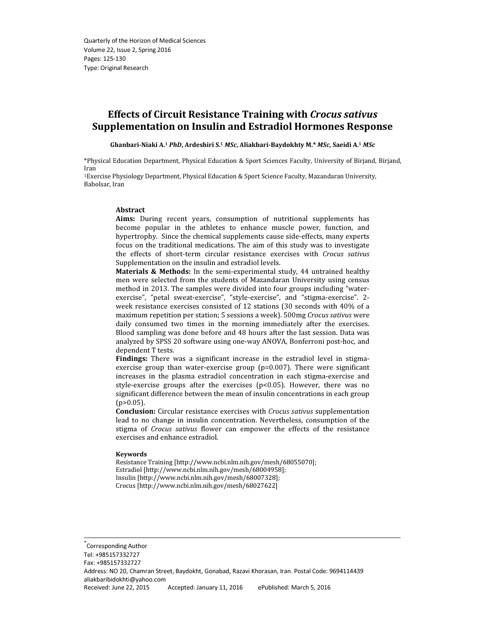# Effects of Circuit Resistance Training with Crocus sativus Supplementation on Insulin and Estradiol Hormones Response

Ghanbari-Niaki A.<sup>1</sup> PhD, Ardeshiri S.<sup>1</sup> MSc, Aliakbari-Baydokhty M.\* MSc, Saeidi A.<sup>1</sup> MSc

\*Physical Education Department, Physical Education & Sport Sciences Faculty, University of Birjand, Birjand, Iran

<sup>1</sup>Exercise Physiology Department, Physical Education & Sport Science Faculty, Mazandaran University, Babolsar, Iran

#### Abstract

Aims: During recent years, consumption of nutritional supplements has become popular in the athletes to enhance muscle power, function, and hypertrophy. Since the chemical supplements cause side-effects, many experts focus on the traditional medications. The aim of this study was to investigate the effects of short-term circular resistance exercises with Crocus sativus Supplementation on the insulin and estradiol levels.

Materials & Methods: In the semi-experimental study, 44 untrained healthy men were selected from the students of Mazandaran University using census method in 2013. The samples were divided into four groups including "waterexercise", "petal sweat-exercise", "style-exercise", and "stigma-exercise". 2 week resistance exercises consisted of 12 stations (30 seconds with 40% of a maximum repetition per station; 5 sessions a week). 500mg Crocus sativus were daily consumed two times in the morning immediately after the exercises. Blood sampling was done before and 48 hours after the last session. Data was analyzed by SPSS 20 software using one-way ANOVA, Bonferroni post-hoc, and dependent T tests.

Findings: There was a significant increase in the estradiol level in stigmaexercise group than water-exercise group (p=0.007). There were significant increases in the plasma estradiol concentration in each stigma-exercise and style-exercise groups after the exercises  $(p<0.05)$ . However, there was no significant difference between the mean of insulin concentrations in each group  $(p>0.05)$ .

Conclusion: Circular resistance exercises with Crocus sativus supplementation lead to no change in insulin concentration. Nevertheless, consumption of the stigma of Crocus sativus flower can empower the effects of the resistance exercises and enhance estradiol.

#### Keywords

\*

Resistance Training [http://www.ncbi.nlm.nih.gov/mesh/68055070]; Estradiol [http://www.ncbi.nlm.nih.gov/mesh/68004958]; Insulin [http://www.ncbi.nlm.nih.gov/mesh/68007328]; Crocus [http://www.ncbi.nlm.nih.gov/mesh/68027622]

 Corresponding Author Tel: +985157332727 Fax: +985157332727 Address: NO 20, Chamran Street, Baydokht, Gonabad, Razavi Khorasan, Iran. Postal Code: 9694114439 aliakbaribidokhti@yahoo.com Received: June 22, 2015 Accepted: January 11, 2016 ePublished: March 5, 2016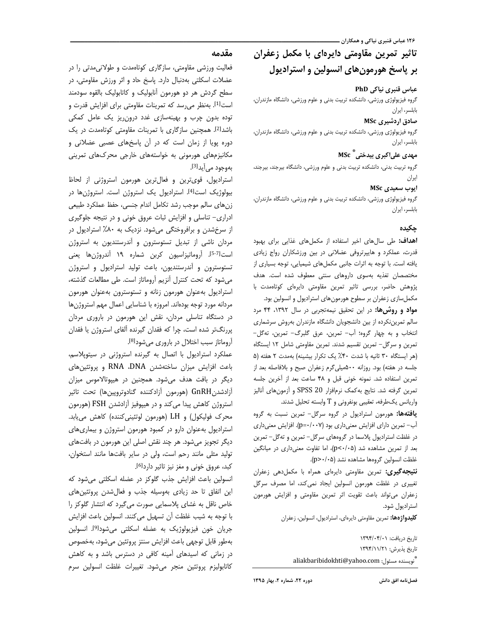# تاثیر تمرین مقاومتی دایرهای با مکمل زعفران بر پاسخ هورمونهای انسولین و استرادیول

### عباس قنبری نیاکی PhD

گروه فیزیولوژی ورزشی، دانشکده تربیت بدنی و علوم ورزشی، دانشگاه مازندران، بابلسر، ایران

#### صادق اردشیری MSc

گروه فیزیولوژی ورزشی، دانشکده تربیت بدنی و علوم ورزشی، دانشگاه مازندران، بابلسر، ايران

# مهدی علیاکبری بیدختی <sup>\*</sup> MSc

گروه تربیت بدنی، دانشکده تربیت بدنی و علوم ورزشی، دانشگاه بیرجند، بیرجند، ايران

#### ایوب سعیدی MSc

گروه فیزیولوژی ورزشی، دانشکده تربیت بدنی و علوم ورزشی، دانشگاه مازندران، بابلسر، ايران

### جكىدە

**اهداف:** طی سالهای اخیر استفاده از مکملهای غذایی برای بهبود قدرت، عملکرد و هایپرتروفی عضلانی در بین ورزشکاران رواج زیادی یافته است. با توجه به اثرات جانبی مکملهای شیمیایی، توجه بسیاری از مختصصان تغذیه بهسوی داروهای سنتی معطوف شده است. هدف پژوهش حاضر، بررسی تاثیر تمرین مقاومتی دایرهای کوتاهمدت با

مواد و روشها: در این تحقیق نیمه تجربی در سال ١٣٩٢، ۴۴ مرد سالم تمرین نکرده از بین دانشجویان دانشگاه مازندران بهروش سرشماری انتخاب و به چهار گروه؛ أب- تمرين، عرق گلبرگ- تمرين، تهگل-تمرین و سرگل– تمرین تقسیم شدند. تمرین مقاومتی شامل ١٢ ایستگاه (هر ایستگاه ٣٠ ثانیه با شدت ۴٠٪ یک تکرار بیشینه) بهمدت ٢ هفته (۵ جلسه در هفته) بود. روزانه ۵۰۰میلی گرم زعفران صبح و بلافاصله بعد از تمرین استفاده شد. نمونه خونی قبل و ۴۸ ساعت بعد از آخرین جلسه تمرین گرفته شد. نتایج به کمک نرمافزار SPSS 20 و آزمونهای آنالیز

یافتهها: هورمون استرادیول در گروه سرگل- تمرین نسبت به گروه آب-تمرین دارای افزایش معنیداری بود (p=٠/٠٠٧). افزایش معنیداری در غلظت استرادیول پلاسما در گروههای سرگل– تمرین و تهگل– تمرین بعد از تمرین مشاهده شد (p<٠/٠۵)، اما تفاوت معنی داری در میانگین

**نتیجه گیری:** تمرین مقاومتی دایرهای همراه با مکملدهی زعفران تغییری در غلظت هورمون انسولین ایجاد نمی کند، اما مصرف سرگل زعفران مى تواند باعث تقويت اثر تمرين مقاومتى وافزايش هورمون استراديول شود.

كليدواژهها: تمرين مقاومتي دايرهاي، استراديول، انسولين، زعفران

تاريخ دريافت: ١٣٩۴/٠۴/٠ تاريخ پذيرش: ١٣٩۴/١١/٢١ aliakbaribidokhti@yahoo.com : تويسنده مسئول

مکملسازی زعفران بر سطوح هورمونهای استرادیول و انسولین بود.

واریانس یک طرفه، تعقیبی بونفرونی و T وابسته تحلیل شدند.

غلظت انسولين گروهها مشاهده نشد (p>٠/٠۵).

# مقدمه

فعالیت ورزشی مقاومتی، سازگاری کوتاممدت و طولانی مدتی را در عضلات اسکلتی بهدنبال دارد. پاسخ حاد و اثر ورزش مقاومتی، در سطح گردش هر دو هورمون آنابولیک و کاتابولیک بالقوه سودمند است<sup>[1]</sup>. بەنظر می رسد که تمرینات مقاومتی برای افزایش قدرت و توده بدون چرب و بهینهسازی غدد درون ریز یک عامل کمکی باشدا<sup>2</sup>]. همچنین سازگاری با تمرینات مقاومتی کوتاهمدت در یک دوره پویا از زمان است که در آن پاسخهای عصبی عضلانی و مکانیزمهای هورمونی به خواستههای خارجی محرکهای تمرینی بهوجود مي اَيدا<sup>3</sup>].

استرادیول، قوی ترین و فعال ترین هورمون استروژنی از لحاظ بیولوژیک است<sup>[4]</sup>. استرادیول یک استروژن است. استروژنها در زن های سالم موجب رشد تکامل اندام جنسی، حفظ عملکرد طبیعی ادراری- تناسلی و افزایش ثبات عروق خونی و در نتیجه جلوگیری از سرخشدن و برافروختگی میشود. نزدیک به ۸۰٪ استرادیول در مردان ناشی از تبدیل تستوسترون و آندرستندیون به استروژن است<sup>5-7</sup>]. آروماتیزاسیون کربن شماره ۱۹ آندروژنها یعنی تستوسترون و آندرستندیون، باعث تولید استرادیول و استروژن می شود که تحت کنترل آنزیم آروماتاز است. طی مطالعات گذشته، استرادیول به عنوان هورمون زنانه و تستوسترون به عنوان هورمون مردانه مورد توجه بودهاند. امروزه با شناسایی اعمال مهم استروژنها در دستگاه تناسلی مردان، نقش این هورمون در باروری مردان پررنگتر شده است، چرا که فقدان گیرنده آلفای استروژن یا فقدان اًروماتاز سبب اختلال در باروری میشود<sup>[8]</sup>.

عملکرد استرادیول با اتصال به گیرنده استروژنی در سیتوپلاسم، باعث افزایش میزان ساختهشدن RNA ،DNA و پروتئینهای دیگر در بافت هدف میشود. همچنین در هیپوتالاموس میزان آزادشدنGnRH (هورمون آزادكننده گنادوتروپینها) تحت تاثیر استروژن کاهش پیدا می کند و در هیپوفیز آزادشدن FSH (هورمون محرک فولیکول) و LH (هورمون لوتئینی کننده) کاهش می یابد. استرادیول به عنوان دارو در کمبود هورمون استروژن و بیماری های ديگر تجويز مي شود. هر چند نقش اصلي اين هورمون در بافتهاي تولید مثلی مانند رحم است، ولی در سایر بافتها مانند استخوان، كبد، عروق خوني و مغز نيز تاثير داردا<sup>6]</sup>.

انسولین باعث افزایش جذب گلوکز در عضله اسکلتی می شود که این اتفاق تا حد زیادی بهوسیله جذب و فعال شدن پروتئینهای خاص ناقل به غشای پلاسمایی صورت میگیرد که انتشار گلوکز را با توجه به شيب غلظت آن تسهيل مي كنند. انسولين باعث افزايش جريان خون فيزيولوژيک به عضله اسکلتي مي شود<sup>[9]</sup>. انسولين بهطور قابل توجهي باعث افزايش سنتز پروتئين مي شود، بهخصوص در زمانی که اسیدهای آمینه کافی در دسترس باشد و به کاهش كاتابوليزم پروتئين منجر مى شود. تغييرات غلظت انسولين سرم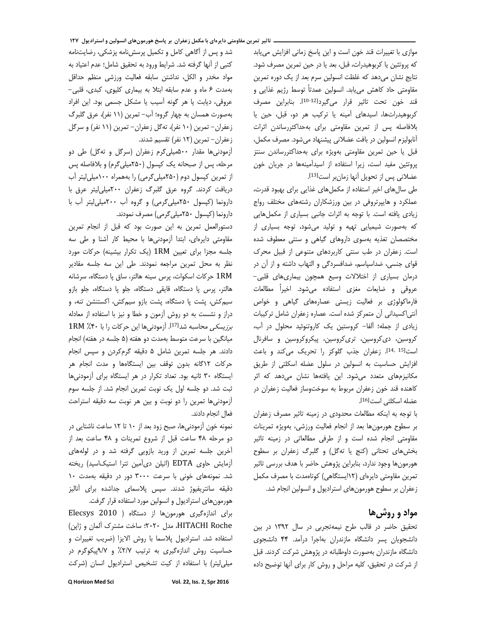موازي با تغييرات قند خون است و اين پاسخ زماني افزايش مي يابد كه پروتئين يا كربوهيدرات، قبل، بعد يا در حين تمرين مصرف شود. نتايج نشان مي دهد كه غلظت انسولين سرم بعد از يک دوره تمرين مقاومتی حاد کاهش میبابد. انسولین عمدتاً توسط رژیم غذایی و قند خون تحت تاثير قرار مي گيردا<sup>10-12</sup>1. بنابراين مصرف كربوهيدراتها، اسيدهاى آمينه يا تركيب هر دو، قبل، حين يا بلافاصله پس از تمرین مقاومتی برای بهحداکثررساندن اثرات آنابولیزم انسولین در بافت عضلانی پیشنهاد میشود. مصرف مکمل، قبل یا حین تمرین مقاومتی بهویژه برای بهحداکثررساندن سنتز پروتئین مفید است، زیرا استفاده از اسیدآمینهها در جریان خون عضلانی پس از تحویل آنها زمانبر است[13].

طی سال های اخیر استفاده از مکمل های غذایی برای بهبود قدرت، عملکرد و هایپرتروفی در بین ورزشکاران رشتههای مختلف رواج زیادی یافته است. با توجه به اثرات جانبی بسیاری از مکملهایی که بهصورت شیمیایی تهیه و تولید می شود، توجه بسیاری از مختصصان تغذیه بهسوی داروهای گیاهی و سنتی معطوف شده است. زعفران در طب سنتی کاربردهای متنوعی از قبیل محرک قوای جنسی، ضداسپاسم، ضدافسردگی و التهاب داشته و از آن در درمان بسیاری از اختلالات وسیع همچون بیماریهای قلبی-عروقی و ضایعات مغزی استفاده میشود. اخیراً مطالعات فارماکولوژی بر فعالیت زیستی عصارههای گیاهی و خواص آنتی|کسیدانی آن متمرکز شده است. عصاره زعفران شامل ترکیبات زیادی از جمله؛ آلفا- کروستین یک کاروتنوئید محلول در آب، کروسین، دیکروسین، تریکروسین، پیکروکروسین و سافرنال است[<sup>14, 15]</sup>. زعفران جذب گلوكز را تحريك مى كند و باعث افزایش حساسیت به انسولین در سلول عضله اسکلتی از طریق مکانیزمهای متعدد می شود. این یافتهها نشان می دهد که اثر كاهنده قند خون زعفران مربوط به سوختوساز فعاليت زعفران در عضله اسكلتي است[16].

با توجه به اینکه مطالعات محدودی در زمینه تاثیر مصرف زعفران بر سطوح هورمونها بعد از انجام فعالیت ورزشی، بهویژه تمرینات مقاومتی انجام شده است و از طرفی مطالعاتی در زمینه تاثیر بخشهای تحتانی (کنج یا تهگل) و گلبرگ زعفران بر سطوح هورمونها وجود ندارد، بنابراین پژوهش حاضر با هدف بررسی تاثیر تمرین مقاومتی دایرهای (۱۲ایستگاهی) کوتاهمدت با مصرف مکمل زعفران بر سطوح هورمون های استرادیول و انسولین انجام شد.

# مواد و روش ها

تحقیق حاضر در قالب طرح نیمهتجربی در سال ۱۳۹۲ در بین دانشجویان پسر دانشگاه مازندران بهاجرا درآمد. ۴۴ دانشجوی دانشگاه مازندران بهصورت داوطلبانه در پژوهش شركت كردند. قبل از شركت در تحقيق، كليه مراحل و روش كار براى آنها توضيح داده

شد و پس از آگاهی کامل و تکمیل پرسشنامه پزشکی، رضایتنامه كتبي از آنها گرفته شد. شرايط ورود به تحقيق شامل؛ عدم اعتياد به مواد مخدر و الكل، نداشتن سابقه فعالیت ورزشی منظم حداقل بهمدت ۶ ماه و عدم سابقه ابتلا به بيماري كليوي، كبدى، قلبي-عروقي، ديابت يا هر گونه آسيب يا مشكل جسمى بود. اين افراد بهصورت همسان به چهار گروه؛ آب– تمرین (۱۱ نفر)، عرق گلبرگ زعفران- تمرین (١٠ نفر)، ته گل زعفران- تمرین (١١ نفر) و سرگل زعفران- تمرين (١٢ نفر) تقسيم شدند.

آزمودنی ها مقدار ۵۰۰میلی گرم زعفران (سرگل و ته گل) طی دو مرحله، پس از صبحانه یک کپسول (۲۵۰میلی گرم) و بلافاصله پس از تمرین کپسول دوم (۲۵۰میلی گرمی) را بههمراه ۱۰۰میلی لیتر آب دریافت کردند. گروه عرق گلبرگ زعفران ٢٠٠میلی لیتر عرق با دارونما (کپسول ۲۵۰میلیگرمی) و گروه آب ۲۰۰میلی لیتر آب با دارونما (کپسول ۲۵۰میلی گرمی) مصرف نمودند.

دستورالعمل تمرين به اين صورت بود كه قبل از انجام تمرين مقاومتی دایرهای، ابتدا آزمودنیها با محیط کار آشنا و طی سه جلسه مجزا برای تعیین 1RM (یک تکرار بیشینه) حرکات مورد نظر به محل تمرین مراجعه نمودند. طی این سه جلسه مقادیر 1RM حركات اسكوات، پرس سينه هالتر، ساق پا دستگاه، سرشانه هالتر، پرس پا دستگاه، قایقی دستگاه، جلو پا دستگاه، جلو بازو سیم کش، پشت پا دستگاه، پشت بازو سیم کش، اکستنشن تنه، و دراز و نشست به دو روش آزمون و خطا و نیز با استفاده از معادله برزيسكي محاسبه شد<sup>[17]</sup>. آزمودني ها اين حركات را با ۴٠٪ 1RM میانگین با سرعت متوسط بهمدت دو هفته (۵ جلسه در هفته) انجام دادند. هر جلسه تمرین شامل ۵ دقیقه گرمکردن و سپس انجام حركات ١٢گانه بدون توقف بين ايستگاهها و مدت انجام هر ایستگاه ۳۰ ثانیه بود. تعداد تکرار در هر ایستگاه برای آزمودنیها ثبت شد. دو جلسه اول یک نوبت تمرین انجام شد. از جلسه سوم آزمودنیها تمرین را دو نوبت و بین هر نوبت سه دقیقه استراحت فعال انجام دادند.

نمونه خون اَزمودنیها، صبح زود بعد از ۱۰ تا ۱۲ ساعت ناشتایی در دو مرحله ۴۸ ساعت قبل از شروع تمرينات و ۴۸ ساعت بعد از آخرین جلسه تمرین از ورید بازویی گرفته شد و در لولههای آزمایش حاوی EDTA (اتیلن دیآمین تترا استیکاسید) ریخته شد. نمونههای خونی با سرعت ۳۰۰۰ دور در دقیقه بهمدت ۱۰ دقیقه سانتریفیوژ شدند. سپس پلاسمای جداشده برای آنالیز

هورمون های استرادیول و انسولین مورد استفاده قرار گرفت. برای اندازهگیری هورمونها از دستگاه ( Elecsys 2010 HITACHI Roche، مدل ۲۰۲۰؛ ساخت مشترک ألمان و ژاپن) استفاده شد. استرادیول پلاسما با روش الایزا (ضریب تغییرات و حساسیت روش اندازهگیری به ترتیب ٢/٧٪ و ٩/٧پیکوگرم در میلی لیتر) با استفاده از کیت تشخیص استرادیول انسان (شرکت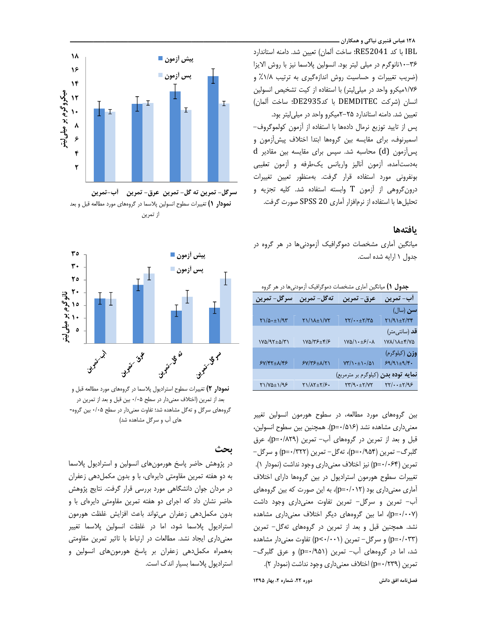۱۲۸ عباس قنبری نیاکی و همکاران ـ

IBL با كد RE52041؛ ساخت آلمان) تعيين شد. دامنه استاندارد ٣۶-١٠نانوگرم در ميلي ليتر بود. انسولين پلاسما نيز با روش الايزا (ضریب تغییرات و حساسیت روش اندازهگیری به ترتیب ۱/۸٪ و ١/٧۶میکرو واحد در میلی لیتر) با استفاده از کیت تشخیص انسولین انسان (شركت DEMDITEC با كدDE2935؛ ساخت آلمان) تعیین شد. دامنه استاندارد ٢۵-٢میکرو واحد در میلی لیتر بود. پس از تایید توزیع نرمال دادهها با استفاده از آزمون کولموگروف-اسمیرنوف، برای مقایسه بین گروهها ابتدا اختلاف پیش آزمون و  $d$  پس آزمون  $(d)$  محاسبه شد. سپس برای مقایسه بین مقادیر بهدستآمده، آزمون آناليز واريانس يكطرفه و آزمون تعقيبي بونفرونی مورد استفاده قرار گرفت. بهمنظور تعیین تغییرات درون گروهی از آزمون T وابسته استفاده شد. کلیه تجزیه و تحلیل ها با استفاده از نرمافزار آماری SPSS 20 صورت گرفت.

#### بافتهها

میانگین آماری مشخصات دموگرافیک آزمودنیها در هر گروه در جدول ١ ارايه شده است.

| <b>جدول ۱)</b> میانگین اماری مشخصات دمو داقیک ازمودنی ها در هر ادروه |                    |                                                |                                   |
|----------------------------------------------------------------------|--------------------|------------------------------------------------|-----------------------------------|
| سرگل- تمرین                                                          | ته گل- تمرین       | عرق- تمرين                                     | أب- تمرين                         |
|                                                                      |                    |                                                | سن (سال)                          |
| $\gamma/\Delta \cdot \pm 1/9$                                        | <b>YI/IA±I/YY</b>  | $\frac{1}{2}$                                  | $Y1/91 \pm Y/77$                  |
|                                                                      |                    |                                                | <b>قد</b> (سانتی،متر)             |
| $Y\Delta/T+\Delta/T$                                                 | ۱۷۵/۳۶±۴/۶         | $\frac{1}{2}$                                  | <b>IVA/IA±۴/VQ</b>                |
|                                                                      |                    |                                                | <b>وزن</b> (کیلوگرم)              |
| $5Y/FY \pm \Lambda/F5$                                               | <b>۶</b> V/۳۶±۸/۲۱ | $Y''/\rightarrow \pm \rightarrow \cdot/\Delta$ | $59/91 \pm 9/9$ .                 |
|                                                                      |                    | نم <b>ایه توده بدن</b> (کیلوگرم بر مترمربع)    |                                   |
| 81/70±1/98                                                           | Y 1/ A Y + Y / F . | $YY/9. \pm Y/YY$                               | $\gamma\gamma/\cdots\pm\gamma/95$ |

بین گروههای مورد مطالعه، در سطوح هورمون انسولین تغییر معنی داری مشاهده نشد (p=٠/۵۱۶). همچنین بین سطوح انسولین، قبل و بعد از تمرین در گروههای آب- تمرین (p=٠/٨٢٩)، عرق گلبرگ– تمرین (p=٠/٩۵۴)، تهگل– تمرین (p=٠/٣٢٢) و سرگل– تمرين (p=٠/٠۶۴) نيز اختلاف معنىداري وجود نداشت (نمودار ١). تغییرات سطوح هورمون استرادیول در بین گروهها دارای اختلاف آماری معنیداری بود (p=٠/٠١٢)، به این صورت که بین گروههای آب- تمرین و سرگل- تمرین تفاوت معنیداری وجود داشت (p=٠/٠٠٧)، اما بین گروههای دیگر اختلاف معنیداری مشاهده نشد. همچنین قبل و بعد از تمرین در گروههای تهگل- تمرین (p=۰/۰۳۳) و سرگل- تمرین (p<۰/۰۰۱) تفاوت معنیدار مشاهده شد، اما در گروههای آب- تمرین (۵۱/۰=p) و عرق گلبرگ-تمرين (p=٠/٢٣٩) اختلاف معنى داري وجود نداشت (نمودار ٢).



سرگل- تمرين ته گل- تمرين عرق- تمرين گأب-تمرين نمودار () تغییرات سطوح انسولین پلاسما در گروههای مورد مطالعه قبل و بعد از تمرين



نمودار ۲) تغییرات سطوح استرادیول پلاسما در گروههای مورد مطالعه قبل و بعد از تمرین (اختلاف معنیدار در سطح ۰/۰۵ بین قبل و بعد از تمرین در گروههای سرگل و تهگل مشاهده شد؛ تفاوت معنیدار در سطح ۰/۰۵ بین گروه-های آب و سرگل مشاهده شد)

## ىحث

در پژوهش حاضر پاسخ هورمونهای انسولین و استرادیول پلاسما به دو هفته تمرین مقاومتی دایرهای، با و بدون مکملدهی زعفران در مردان جوان دانشگاهی مورد بررسی قرار گرفت. نتایج پژوهش حاضر نشان داد که اجرای دو هفته تمرین مقاومتی دایرهای با و بدون مكمل دهى زعفران مى تواند باعث افزايش غلظت هورمون استرادیول پلاسما شود، اما در غلظت انسولین پلاسما تغییر معنی داری ایجاد نشد. مطالعات در ارتباط با تاثیر تمرین مقاومتی بههمراه مكمل دهى زعفران بر پاسخ هورمون هاى انسولين و استرادیول پلاسما بسیار اندک است.

دوره ٢٢، شماره ٢، بهار ١٣٩٥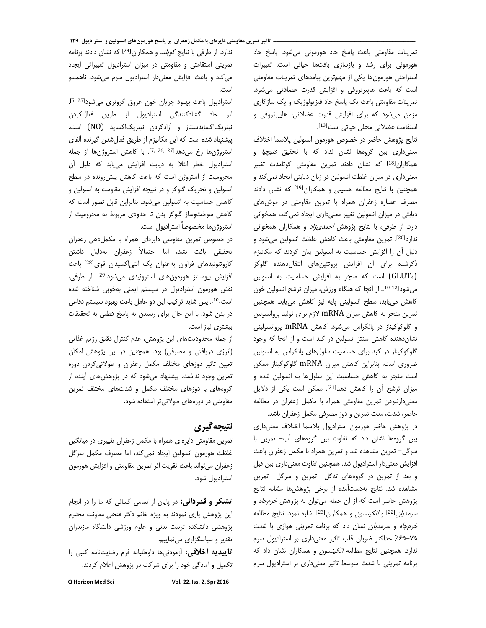تمرينات مقاومتي باعث پاسخ حاد هورموني مي شود. پاسخ حاد هورمونی برای رشد و بازسازی بافتها حیاتی است. تغییرات استراحتی هورمونها یکی از مهمترین پیامدهای تمرینات مقاومتی است که باعث هاپیرتروفی و افزایش قدرت عضلانی می شود. تمرینات مقاومتی باعث یک پاسخ حاد فیزیولوژیک و یک سازگاری مزمن میشود که برای افزایش قدرت عضلانی، هایپرتروفی و استقامت عضلانی محلی حیاتی است<sup>[13]</sup>.

نتايج پژوهش حاضر در خصوص هورمون انسولين پلاسما اختلاف معنیداری بین گروهها نشان نداد که با تحقیق *فنیچیا* و همکاران<sup>[18]</sup> که نشان دادند تمرین مقاومتی کوتامدت تغییر معنیداری در میزان غلظت انسولین در زنان دیابتی ایجاد نمی کند و همچنین با نتایج مطالعه ح*سینی* و همکاران<sup>[19]</sup> که نشان دادند مصرف عصاره زعفران همراه با تمرین مقاومتی در موش های دیابتی در میزان انسولین تغییر معنیداری ایجاد نمی کند، همخوانی دارد. از طرفی، با نتایج پژوهش *احمدی زاد* و همکاران همخوانی ندارد<sup>[20]</sup>. تمرین مقاومتی باعث کاهش غلظت انسولین میشود و دلیل أن را افزایش حساسیت به انسولین بیان کردند که مکانیزم ذکرشده برای آن افزایش پروتئینهای انتقالدهنده گلوکز (GLUT4) است که منجر به افزایش حساسیت به انسولین می شود<sup>[10-12]</sup>. از آنجا که هنگام ورزش، میزان ترشح انسولین خون كاهش مى يابد، سطح انسولينى پايه نيز كاهش مى يابد. همچنين تمرین منجر به کاهش میزان mRNA لازم برای تولید پروانسولین و گلوکوکیناز در پانکراس میشود. کاهش mRNA پروانسولینی نشان دهنده کاهش سنتز انسولین در کبد است و از آنجا که وجود گلوکوکیناز در کبد برای حساسیت سلولهای پانکراس به انسولین ضروری است، بنابراین کاهش میزان mRNA گلوکوکیناز ممکن است منجر به كاهش حساسيت اين سلولها به انسولين شده و میزان ترشح آن را کاهش دهد<sup>[21]</sup>. ممکن است یکی از دلایل معنیدارنبودن تمرین مقاومتی همراه با مکمل زعفران در مطالعه حاضر، شدت، مدت تمرین و دوز مصرفی مکمل زعفران باشد.

در پژوهش حاضر هورمون استرادیول پلاسما اختلاف معنی داری بین گروهها نشان داد که تفاوت بین گروههای آب- تمرین با سرگل– تمرین مشاهده شد و تمرین همراه با مکمل زعفران باعث افزایش معنیدار استرادیول شد. همچنین تفاوت معنیداری بین قبل و بعد از تمرین در گروههای تهگل- تمرین و سرگل- تمرین مشاهده شد. نتايج بهدستآمده از برخى پژوهشها مشابه نتايج پژوهش حاضر است که از آن جمله می توان به پژوهش خرم جاه و *سرمديان<sup>[22]</sup> و اتكينسون و همكاران<sup>[23]</sup> اشاره نمود. نتايج مطالعه* خرم جاه و *سرمدیان* نشان داد که برنامه تمرینی هوازی با شدت ۷۵-۶۵٪ حداکثر ضربان قلب تاثیر معنی داری بر استرادیول سرم ندارد. همچنین نتایج مطالعه *اتکینسون* و همکاران نشان داد که برنامه تمرینی با شدت متوسط تاثیر معنیداری بر استرادیول سرم

ندارد. از طرفی با نتایج *کوپلند* و همکاران<sup>[24]</sup> که نشان دادند برنامه تمرینی استقامتی و مقاومتی در میزان استرادیول تغییراتی ایجاد می کند و باعث افزایش معنی دار استرادیول سرم می شود، ناهمسو است.

استرادیول باعث بهبود جریان خون عروق کرونری می شود<sup>5, 25</sup>]. اثر حاد گشادکنندگی استرادیول از طریق فعال کردن نیتریکاکسایدسنتاز و آزادکردن نیتریکاکساید (NO) است. پیشنهاد شده است که این مکانیزم از طریق فعال شدن گیرنده آلفای استروژنها رخ می دهد<sup>[7, 26, 27]</sup>. با كاهش استروژنها از جمله استرادیول خطر ابتلا به دیابت افزایش می یابد که دلیل آن محرومیت از استروژن است که باعث کاهش پیش رونده در سطح انسولین و تحریک گلوکز و در نتیجه افزایش مقاومت به انسولین و كاهش حساسيت به انسولين مى شود. بنابراين قابل تصور است كه كاهش سوختوساز گلوكز بدن تا حدودى مربوط به محروميت از استروژن ها مخصوصاً استرادیول است.

در خصوص تمرین مقاومتی دایرهای همراه با مکملدهی زعفران تحقیقی یافت نشد، اما احتمالاً زعفران بهدلیل داشتن كاروتنوئيدهاى فراوان بهعنوان يك أنتى اكسيدان قوى[28] باعث افزایش بیوسنتز هورمونهای استروئیدی میشود<sup>[29]</sup>. از طرفی، نقش هورمون استرادیول در سیستم ایمنی بهخوبی شناخته شده است<sup>[10]</sup>. پس شاید ترکیب این دو عامل باعث بهبود سیستم دفاعی در بدن شود. با این حال برای رسیدن به پاسخ قطعی به تحقیقات بیشتری نیاز است.

از جمله محدوديتهاى اين پژوهش، عدم كنترل دقيق رژيم غذايي (انرژی دریافتی و مصرفی) بود. همچنین در این پژوهش امکان تعیین تاثیر دوزهای مختلف مکمل زعفران و طولانی کردن دوره تمرین وجود نداشت. پیشنهاد میشود که در پژوهشهای آینده از گروههای با دوزهای مختلف مکمل و شدتهای مختلف تمرین مقاومتی در دورههای طولانیتر استفاده شود.

# نتيجه گيري

تمرین مقاومتی دایرهای همراه با مکمل زعفران تغییری در میانگین غلظت هورمون انسولین ایجاد نمی کند، اما مصرف مکمل سرگل زعفران مىتواند باعث تقويت اثر تمرين مقاومتى و افزايش هورمون استراديول شود.

**تشکر و قدردانی:** در پایان از تمامی کسانی که ما را در انجام این پژوهش یاری نمودند به ویژه خانم دکتر *فتحی* معاونت محترم پژوهشی دانشکده تربیت بدنی و علوم ورزشی دانشگاه مازندران تقدیر و سیاسگزاری می نماییم.

تاييديه اخلاقي: آزمودني ها داوطلبانه فرم رضايتنامه كتبي را تکمیل و آمادگی خود را برای شرکت در پژوهش اعلام کردند.

Vol. 22, Iss. 2, Spr 2016

Q Horizon Med Sci